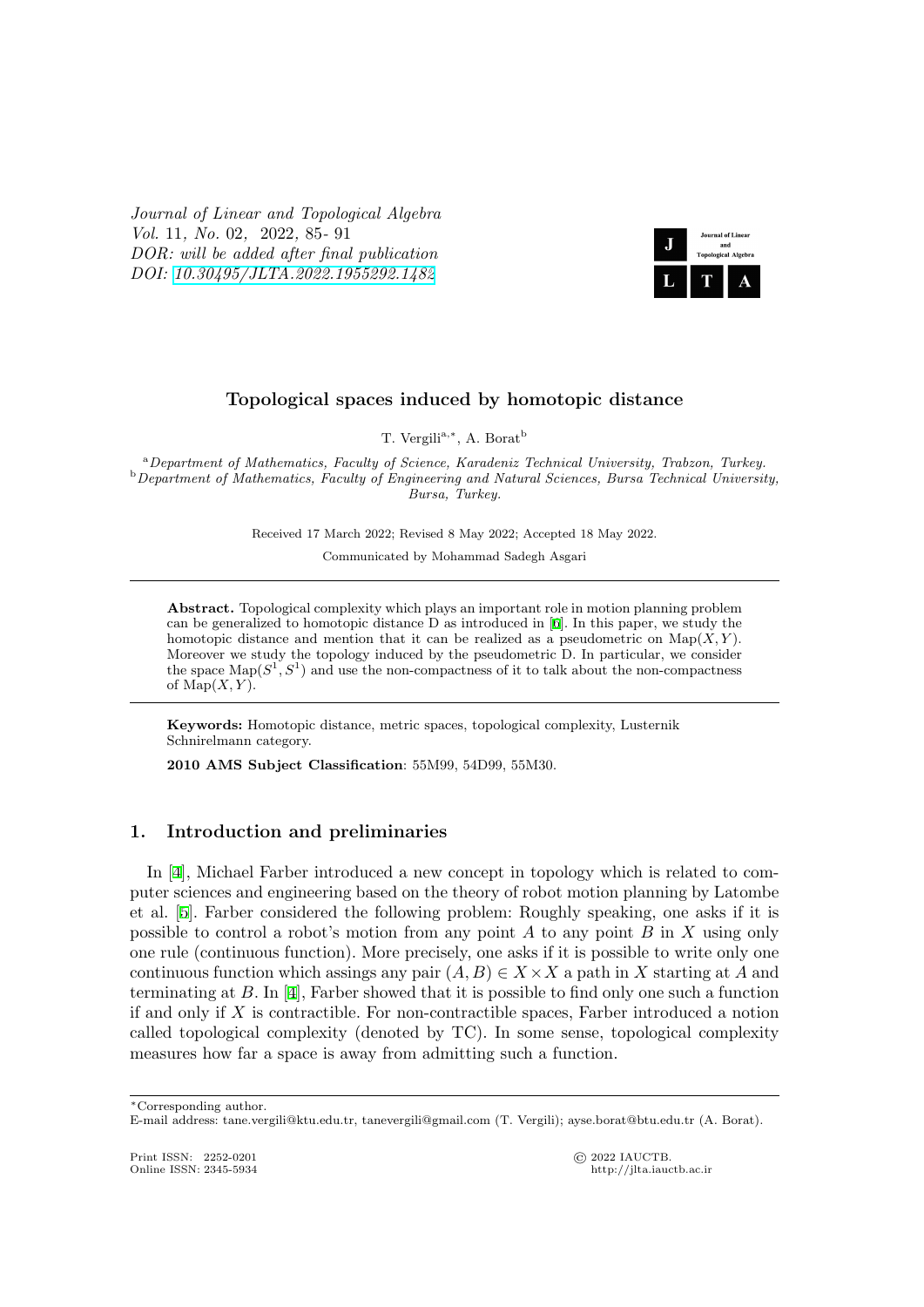*Journal of Linear and Topological Algebra Vol.* 11*, No.* 02*,* 2022*,* 85*-* 91 *DOR: will be added after final publication DOI: 10.30495/JLTA.2022.1955292.1482*



### **Topological spaces induced by homotopic distance**

T. Vergili<sup>a,∗</sup>, A. Borat<sup>b</sup>

<sup>a</sup>*Department of Mathematics, Faculty of Science, Karadeniz Technical University, Trabzon, Turkey.* <sup>b</sup>*Department of Mathematics, Faculty of Engineering and Natural Sciences, Bursa Technical University, Bursa, Turkey.*

Received 17 March 2022; Revised 8 May 2022; Accepted 18 May 2022.

Communicated by Mohammad Sadegh Asgari

**Abstract.** Topological complexity which plays an important role in motion planning problem can be generalized to homotopic distance D as introduced in [6]. In this paper, we study the homotopic distance and mention that it can be realized as a pseudometric on  $\text{Map}(X, Y)$ . Moreover we study the topology induced by the pseudometric D. In particular, we consider the space  $\text{Map}(S^1, S^1)$  and use the non-compactness of it to talk about the non-compactness of  $\text{Map}(X, Y)$ .

**Keywords:** Homotopic distance, metric spaces, topological complexity, Lusternik Schnirelmann category.

**2010 AMS Subject Classification**: 55M99, 54D99, 55M30.

#### **1. Introduction and preliminaries**

In [4], Michael Farber introduced a new concept in topology which is related to computer sciences and engineering based on the theory of robot motion planning by Latombe et al. [5]. Farber considered the following problem: Roughly speaking, one asks if it is possible to control a robot's motion from any point *A* to any point *B* in *X* using only one r[ule](#page-6-0) (continuous function). More precisely, one asks if it is possible to write only one continuous function which assings any pair  $(A, B) \in X \times X$  a path in X starting at A and termin[at](#page-6-1)ing at *B*. In [4], Farber showed that it is possible to find only one such a function if and only if *X* is contractible. For non-contractible spaces, Farber introduced a notion called topological complexity (denoted by TC). In some sense, topological complexity measures how far a space is away from admitting such a function.

Print ISSN: 2252-0201 © 2022 IAUCTB.

http://jlta.iauctb.ac.ir

*<sup>∗</sup>*Corresponding author.

E-mail address: tane.vergili@ktu.edu.tr, tanevergili@gmail.com (T. Vergili); ayse.borat@btu.edu.tr (A. Borat).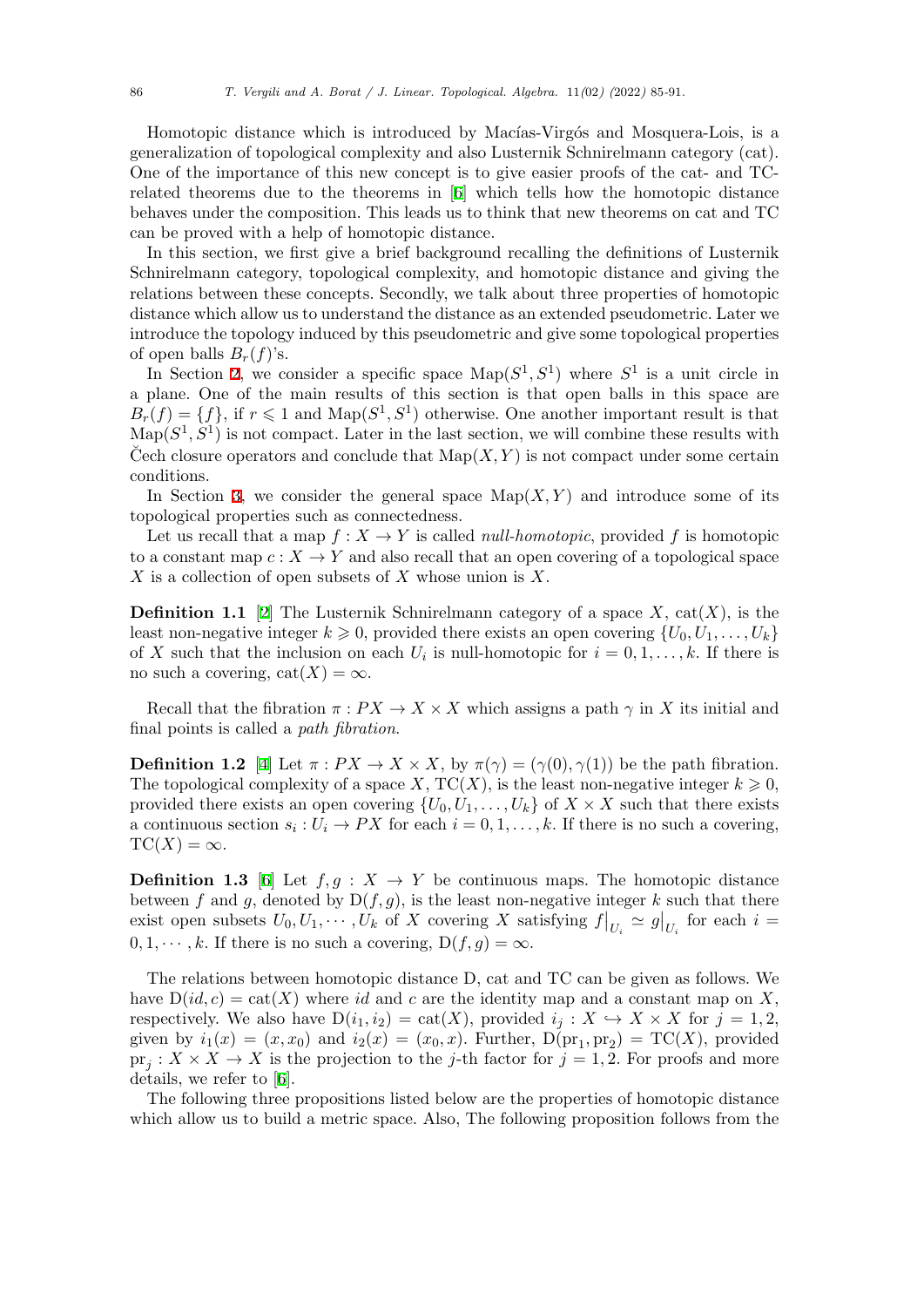Homotopic distance which is introduced by Macías-Virgós and Mosquera-Lois, is a generalization of topological complexity and also Lusternik Schnirelmann category (cat). One of the importance of this new concept is to give easier proofs of the cat- and TCrelated theorems due to the theorems in [6] which tells how the homotopic distance behaves under the composition. This leads us to think that new theorems on cat and TC can be proved with a help of homotopic distance.

In this section, we first give a brief background recalling the definitions of Lusternik Schnirelmann category, topological comple[xit](#page-6-2)y, and homotopic distance and giving the relations between these concepts. Secondly, we talk about three properties of homotopic distance which allow us to understand the distance as an extended pseudometric. Later we introduce the topology induced by this pseudometric and give some topological properties of open balls  $B_r(f)$ 's.

In Section 2, we consider a specific space  $\text{Map}(S^1, S^1)$  where  $S^1$  is a unit circle in a plane. One of the main results of this section is that open balls in this space are  $B_r(f) = \{f\}$ , if  $r \leq 1$  and  $\text{Map}(S^1, S^1)$  otherwise. One another important result is that  $\text{Map}(S^1, S^1)$  is not compact. Later in the last section, we will combine these results with Cech closure [op](#page-3-0)erators and conclude that  $\text{Map}(X, Y)$  is not compact under some certain conditions.

In Section 3, we consider the general space  $\mathrm{Map}(X, Y)$  and introduce some of its topological properties such as connectedness.

Let us recall that a map  $f: X \to Y$  is called *null-homotopic*, provided f is homotopic to a constant map  $c: X \to Y$  and also recall that an open covering of a topological space *X* is a collect[io](#page-4-0)n of open subsets of *X* whose union is *X*.

**Definition 1.1** [2] The Lusternik Schnirelmann category of a space  $X$ , cat $(X)$ , is the least non-negative integer  $k \geq 0$ , provided there exists an open covering  $\{U_0, U_1, \ldots, U_k\}$ of *X* such that the inclusion on each  $U_i$  is null-homotopic for  $i = 0, 1, \ldots, k$ . If there is no such a covering,  $cat(X) = \infty$ .

Recall that the fibration  $\pi$  :  $PX \to X \times X$  which assigns a path  $\gamma$  in X its initial and final points is called a *path fibration*.

**Definition 1.2** [4] Let  $\pi$  :  $PX \to X \times X$ , by  $\pi(\gamma) = (\gamma(0), \gamma(1))$  be the path fibration. The topological complexity of a space  $X, TC(X)$ , is the least non-negative integer  $k \geqslant 0$ , provided there exists an open covering  $\{U_0, U_1, \ldots, U_k\}$  of  $X \times X$  such that there exists a continuous section  $s_i: U_i \to PX$  for each  $i = 0, 1, \ldots, k$ . If there is no such a covering,  $TC(X) = \infty$ .

**Definition 1.3** [6] Let  $f, g : X \to Y$  be continuous maps. The homotopic distance between *f* and *g*, denoted by  $D(f, g)$ , is the least non-negative integer *k* such that there exist open subsets  $U_0, U_1, \cdots, U_k$  of X covering X satisfying  $f|_{U_i} \simeq g|_{U_i}$  for each  $i =$  $0, 1, \dots, k$ . If there is no such a covering,  $D(f, g) = \infty$ .

The relations between homotopic distance D, cat and TC can be given as follows. We have  $D(id, c) = \text{cat}(X)$  where *id* and *c* are the identity map and a constant map on X, respectively. We also have  $D(i_1, i_2) = \text{cat}(X)$ , provided  $i_j : X \hookrightarrow X \times X$  for  $j = 1, 2$ , given by  $i_1(x) = (x, x_0)$  and  $i_2(x) = (x_0, x)$ . Further,  $D(pr_1, pr_2) = TC(X)$ , provided  $pr_j: X \times X \to X$  is the projection to the *j*-th factor for  $j = 1, 2$ . For proofs and more details, we refer to [6].

The following three propositions listed below are the properties of homotopic distance which allow us to build a metric space. Also, The following proposition follows from the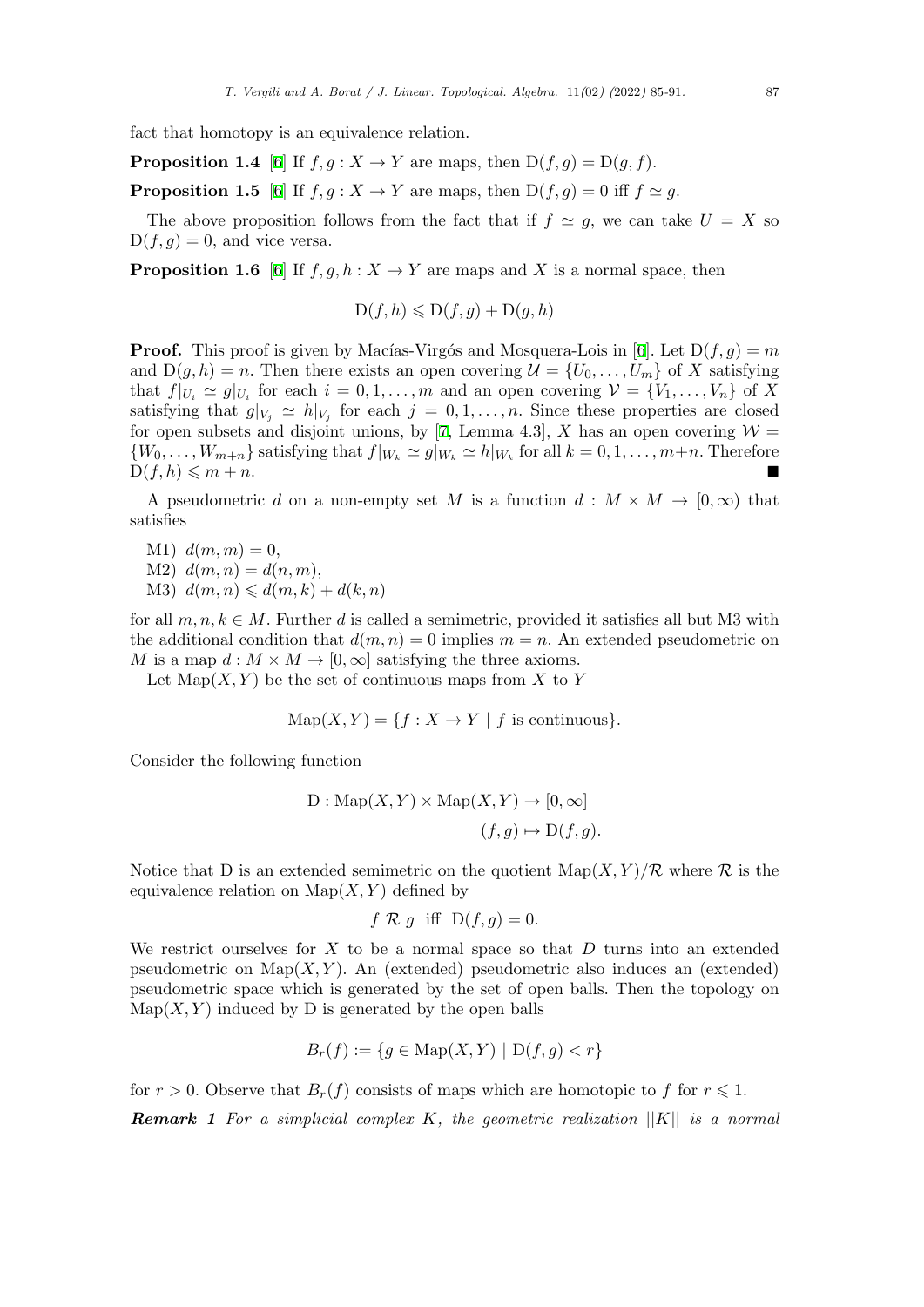fact that homotopy is an equivalence relation.

**Proposition 1.4** [6] If  $f, g: X \to Y$  are maps, then  $D(f, g) = D(g, f)$ .

**Proposition 1.5** [6] If  $f, g: X \to Y$  are maps, then  $D(f, g) = 0$  iff  $f \simeq g$ .

The above proposition follows from the fact that if  $f \simeq g$ , we can take  $U = X$  so  $D(f, g) = 0$ , and vi[ce](#page-6-2) versa.

**Proposition 1.[6](#page-6-2)** [6] If  $f, g, h: X \to Y$  are maps and *X* is a normal space, then

$$
D(f, h) \leq D(f, g) + D(g, h)
$$

**Proof.** This proof [is](#page-6-2) given by Macías-Virgós and Mosquera-Lois in [6]. Let  $D(f, g) = m$ and  $D(g, h) = n$ . Then there exists an open covering  $\mathcal{U} = \{U_0, \ldots, U_m\}$  of X satisfying that  $f|_{U_i} \simeq g|_{U_i}$  for each  $i = 0, 1, ..., m$  and an open covering  $\mathcal{V} = \{V_1, ..., V_n\}$  of X satisfying that  $g|_{V_j} \simeq h|_{V_j}$  for each  $j = 0, 1, \ldots, n$ . Since these properties are closed for [op](#page-6-2)en subsets and disjoint unions, by [7, Lemma 4.3], X has an open covering  $W =$  $\{W_0,\ldots,W_{m+n}\}\$  satisfying that  $f|_{W_k} \simeq g|_{W_k} \simeq h|_{W_k}$  for all  $k = 0,1,\ldots,m+n$ . Therefore  $D(f, h) \leqslant m + n.$ 

A pseudometric *d* on a non-empty set *[M](#page-6-3)* is a function  $d : M \times M \rightarrow [0, \infty)$  that satisfies

- $M1$ )  $d(m, m) = 0$ ,
- $M2$ )  $d(m, n) = d(n, m)$ ,
- $M3$ )  $d(m, n) \leq d(m, k) + d(k, n)$

for all  $m, n, k \in M$ . Further *d* is called a semimetric, provided it satisfies all but M3 with the additional condition that  $d(m, n) = 0$  implies  $m = n$ . An extended pseudometric on *M* is a map  $d : M \times M \to [0, \infty]$  satisfying the three axioms.

Let  $\text{Map}(X, Y)$  be the set of continuous maps from X to Y

$$
Map(X, Y) = \{ f : X \to Y \mid f \text{ is continuous} \}.
$$

Consider the following function

D: Map(X, Y) × Map(X, Y) 
$$
\rightarrow
$$
 [0,  $\infty$ ]  
(f, g)  $\mapsto$  D(f, g).

Notice that D is an extended semimetric on the quotient  $\text{Map}(X, Y)/\mathcal{R}$  where  $\mathcal R$  is the equivalence relation on  $\text{Map}(X, Y)$  defined by

$$
f \mathcal{R} g
$$
 iff  $D(f,g) = 0$ .

We restrict ourselves for *X* to be a normal space so that *D* turns into an extended pseudometric on  $\text{Map}(X, Y)$ . An (extended) pseudometric also induces an (extended) pseudometric space which is generated by the set of open balls. Then the topology on  $Map(X, Y)$  induced by D is generated by the open balls

$$
B_r(f) := \{ g \in \text{Map}(X, Y) \mid D(f, g) < r \}
$$

for  $r > 0$ . Observe that  $B_r(f)$  consists of maps which are homotopic to f for  $r \leq 1$ .

*Remark 1 For a simplicial complex K, the geometric realization ||K|| is a normal*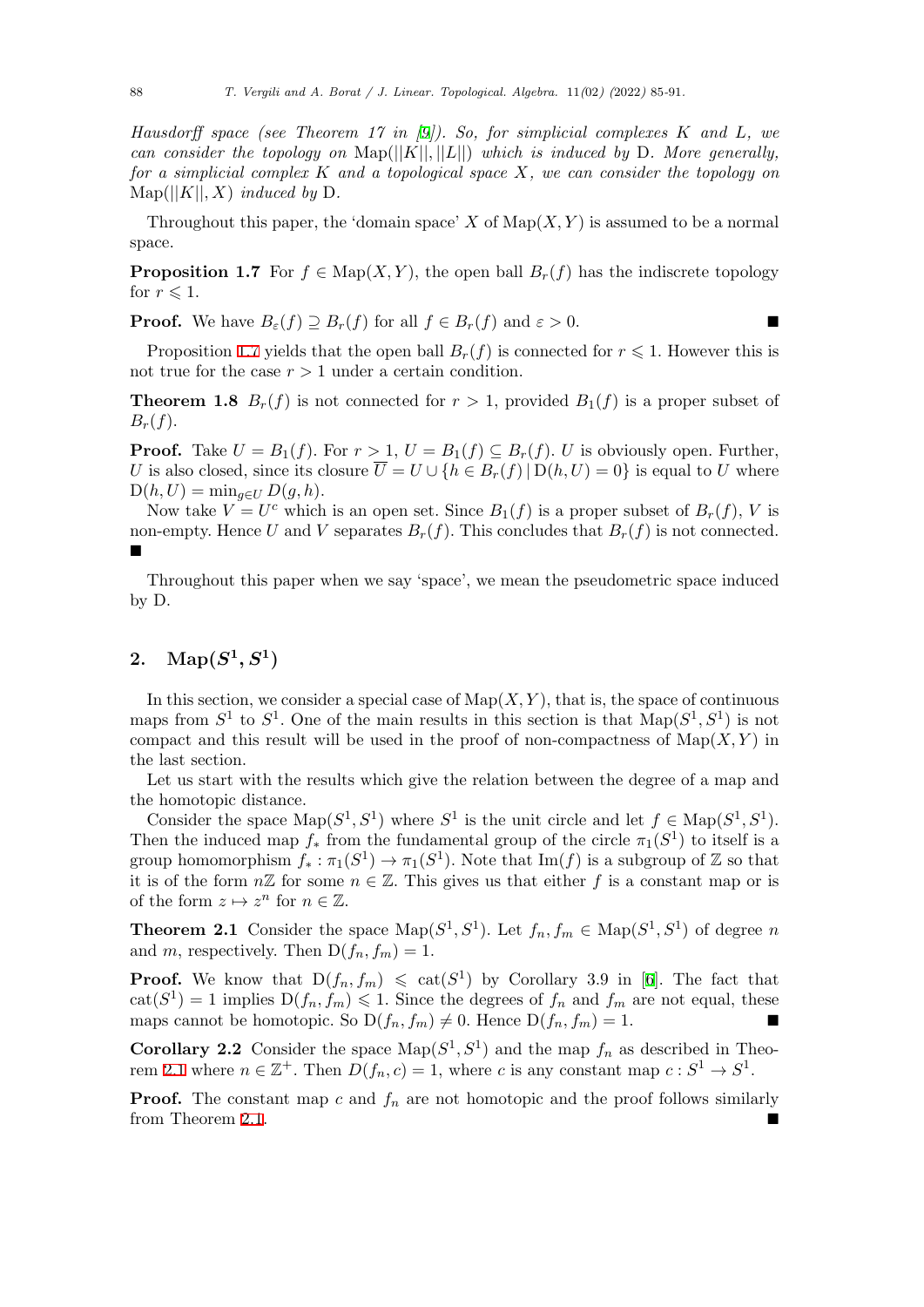*Hausdorff space (see Theorem 17 in [9]). So, for simplicial complexes K and L, we can consider the topology on*  $\text{Map}(|[K|], |L|]$ *) which is induced by* D. More generally, *for a simplicial complex K and a topological space X, we can consider the topology on*  $\text{Map}(|[K|], X)$  *induced by* D.

Throughout this paper, the 'domain [sp](#page-6-4)ace' *X* of  $\text{Map}(X, Y)$  is assumed to be a normal space.

**Proposition 1.7** For  $f \in \text{Map}(X, Y)$ , the open ball  $B_r(f)$  has the indiscrete topology for  $r \leqslant 1$ .

**Proof.** We have  $B_{\varepsilon}(f) \supseteq B_{r}(f)$  for all  $f \in B_{r}(f)$  and  $\varepsilon > 0$ .

Proposition 1.7 yields that the open ball  $B_r(f)$  is connected for  $r \leq 1$ . However this is not true for the case  $r > 1$  under a certain condition.

**Theorem 1.8**  $B_r(f)$  is not connected for  $r > 1$ , provided  $B_1(f)$  is a proper subset of  $B_r(f)$ .

**Proof.** Take  $U = B_1(f)$ . For  $r > 1$ ,  $U = B_1(f) \subseteq B_r(f)$ . *U* is obviously open. Further, *U* is also closed, since its closure  $\overline{U} = U \cup \{h \in B_r(f) | D(h, U) = 0\}$  is equal to *U* where  $D(h, U) = \min_{q \in U} D(g, h).$ 

Now take  $V = U^c$  which is an open set. Since  $B_1(f)$  is a proper subset of  $B_r(f)$ , V is non-empty. Hence U and V separates  $B_r(f)$ . This concludes that  $B_r(f)$  is not connected. ■

Throughout this paper when we say 'space', we mean the pseudometric space induced by D.

# 2.  $\text{Map}(S^1, S^1)$

<span id="page-3-0"></span>In this section, we consider a special case of  $\text{Map}(X, Y)$ , that is, the space of continuous maps from  $S^1$  to  $S^1$ . One of the main results in this section is that  $\text{Map}(S^1, S^1)$  is not compact and this result will be used in the proof of non-compactness of  $\text{Map}(X, Y)$  in the last section.

Let us start with the results which give the relation between the degree of a map and the homotopic distance.

Consider the space  $\text{Map}(S^1, S^1)$  where  $S^1$  is the unit circle and let  $f \in \text{Map}(S^1, S^1)$ . Then the induced map  $f_*$  from the fundamental group of the circle  $\pi_1(S^1)$  to itself is a group homomorphism  $f_* : \pi_1(S^1) \to \pi_1(S^1)$ . Note that  $\text{Im}(f)$  is a subgroup of Z so that it is of the form  $n\mathbb{Z}$  for some  $n \in \mathbb{Z}$ . This gives us that either f is a constant map or is of the form  $z \mapsto z^n$  for  $n \in \mathbb{Z}$ .

**Theorem 2.1** Consider the space  $\text{Map}(S^1, S^1)$ . Let  $f_n, f_m \in \text{Map}(S^1, S^1)$  of degree *n* and *m*, respectively. Then  $D(f_n, f_m) = 1$ .

<span id="page-3-1"></span>**Proof.** We know that  $D(f_n, f_m) \leq \text{cat}(S^1)$  by Corollary 3.9 in [6]. The fact that  $\text{cat}(S^1) = 1$  implies  $D(f_n, f_m) \leq 1$ . Since the degrees of  $f_n$  and  $f_m$  are not equal, these maps cannot be homotopic. So  $D(f_n, f_m) \neq 0$ . Hence  $D(f_n, f_m) = 1$ .

**Corollary 2.2** Consi[de](#page-6-2)r the space  $\text{Map}(S^1, S^1)$  and the map  $f_n$  as described in Theorem 2.1 where  $n \in \mathbb{Z}^+$ . Then  $D(f_n, c) = 1$ , where *c* is any constant map  $c : S^1 \to S^1$ .

**Proof.** The constant map *c* and  $f_n$  are not homotopic and the proof follows similarly  $\blacksquare$  from Theorem 2.1.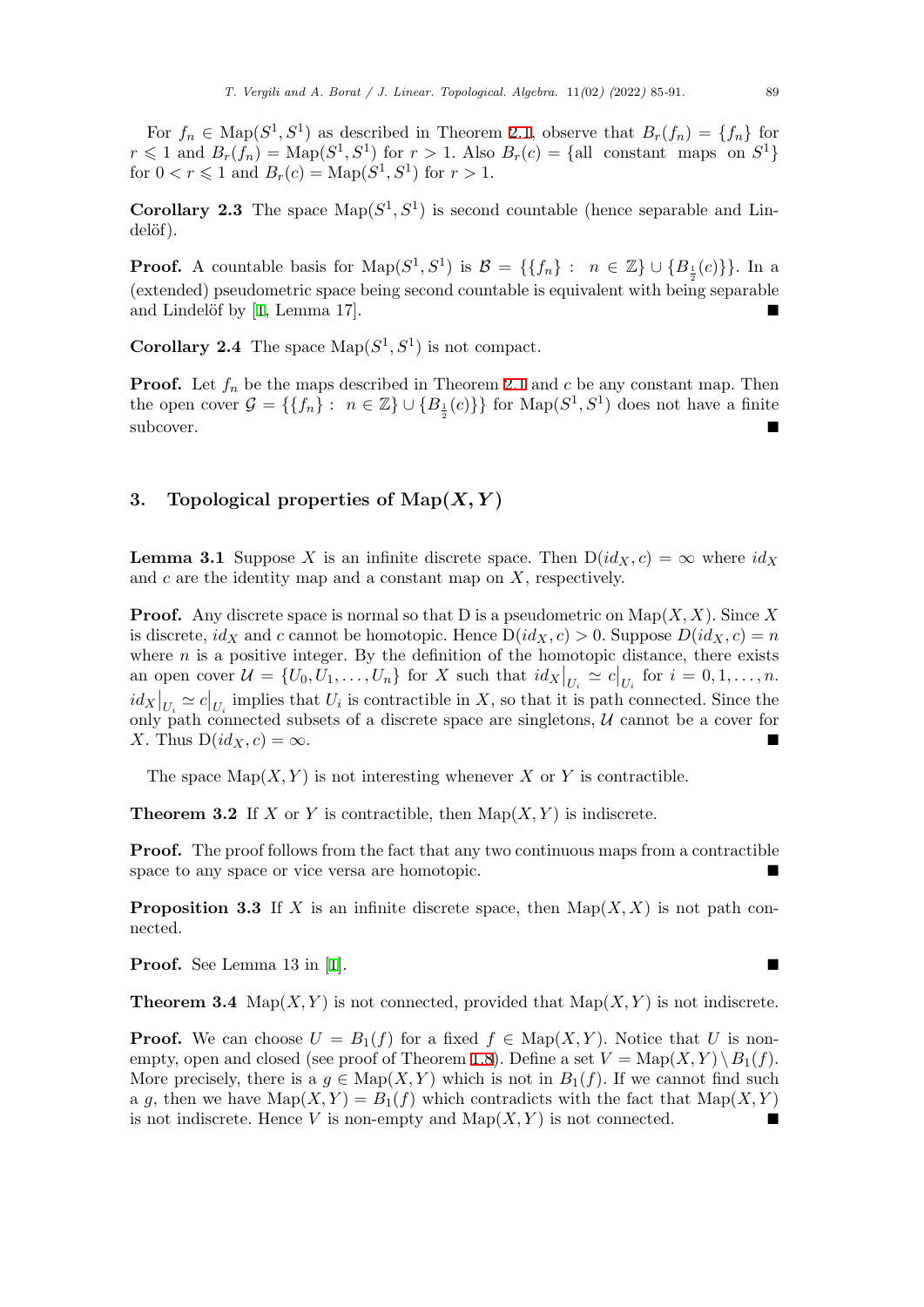For  $f_n \in \text{Map}(S^1, S^1)$  as described in Theorem 2.1, observe that  $B_r(f_n) = \{f_n\}$  for  $r \leq 1$  and  $B_r(f_n) = \text{Map}(S^1, S^1)$  for  $r > 1$ . Also  $B_r(c) = \{all \text{ constant maps on } S^1\}$ for  $0 < r \le 1$  and  $B_r(c) = \text{Map}(S^1, S^1)$  for  $r > 1$ .

**Corollary 2.3** The space  $\text{Map}(S^1, S^1)$  is second [cou](#page-3-1)ntable (hence separable and Lindelöf).

**Proof.** A countable basis for  $\text{Map}(S^1, S^1)$  is  $\mathcal{B} = \{\{f_n\}: n \in \mathbb{Z}\} \cup \{B_{\frac{1}{2}}(c)\}\}\.$  In a 2 (extended) pseudometric space being second countable is equivalent with being separable and Lindelöf by  $[1, \text{Lemma } 17]$ .

**Corollary 2.4** The space  $\text{Map}(S^1, S^1)$  is not compact.

**Proof.** L[e](#page-6-5)t  $f_n$  be the maps described in Theorem 2.1 and  $c$  be any constant map. Then the open cover  $\mathcal{G} = \{\{f_n\}: n \in \mathbb{Z}\} \cup \{B_{\frac{1}{2}}(c)\}\}\$  for  $\text{Map}(S^1, S^1)$  does not have a finite subcover.

#### **3. Topological properties of Map(***X, Y* **)**

<span id="page-4-0"></span>**Lemma 3.1** Suppose *X* is an infinite discrete space. Then  $D(id_X, c) = \infty$  where  $id_X$ and *c* are the identity map and a constant map on *X*, respectively.

**Proof.** Any discrete space is normal so that D is a pseudometric on Map(*X, X*). Since *X* is discrete,  $id_X$  and c cannot be homotopic. Hence  $D(id_X, c) > 0$ . Suppose  $D(id_X, c) = n$ where  $n$  is a positive integer. By the definition of the homotopic distance, there exists an open cover  $\mathcal{U} = \{U_0, \tilde{U}_1, \ldots, \tilde{U}_n\}$  for X such that  $id_X|_{U_i} \simeq c|_{U_i}$  for  $i = 0, 1, \ldots, n$ .  $id_X|_{U_i} \simeq c|_{U_i}$  implies that  $U_i$  is contractible in *X*, so that it is path connected. Since the only path connected subsets of a discrete space are singletons,  $U$  cannot be a cover for *X*. Thus  $D(id_X, c) = \infty$ .

The space  $\text{Map}(X, Y)$  is not interesting whenever *X* or *Y* is contractible.

**Theorem 3.2** If *X* or *Y* is contractible, then  $\text{Map}(X, Y)$  is indiscrete.

**Proof.** The proof follows from the fact that any two continuous maps from a contractible space to any space or vice versa are homotopic.

**Proposition 3.3** If *X* is an infinite discrete space, then  $\text{Map}(X, X)$  is not path connected.

**Proof.** See Lemma 13 in [1].  $\blacksquare$ 

**Theorem 3.4** Map $(X, Y)$  is not connected, provided that  $\text{Map}(X, Y)$  is not indiscrete.

**Proof.** We can choose  $U = B_1(f)$  $U = B_1(f)$  $U = B_1(f)$  for a fixed  $f \in \text{Map}(X, Y)$ . Notice that *U* is nonempty, open and closed (see proof of Theorem 1.8). Define a set  $V = \text{Map}(X, Y) \setminus B_1(f)$ . More precisely, there is a  $g \in \text{Map}(X, Y)$  which is not in  $B_1(f)$ . If we cannot find such a *g*, then we have  $\text{Map}(X, Y) = B_1(f)$  which contradicts with the fact that  $\text{Map}(X, Y)$ is not indiscrete. Hence *V* is non-empty and  $\text{Map}(X, Y)$  is not connected.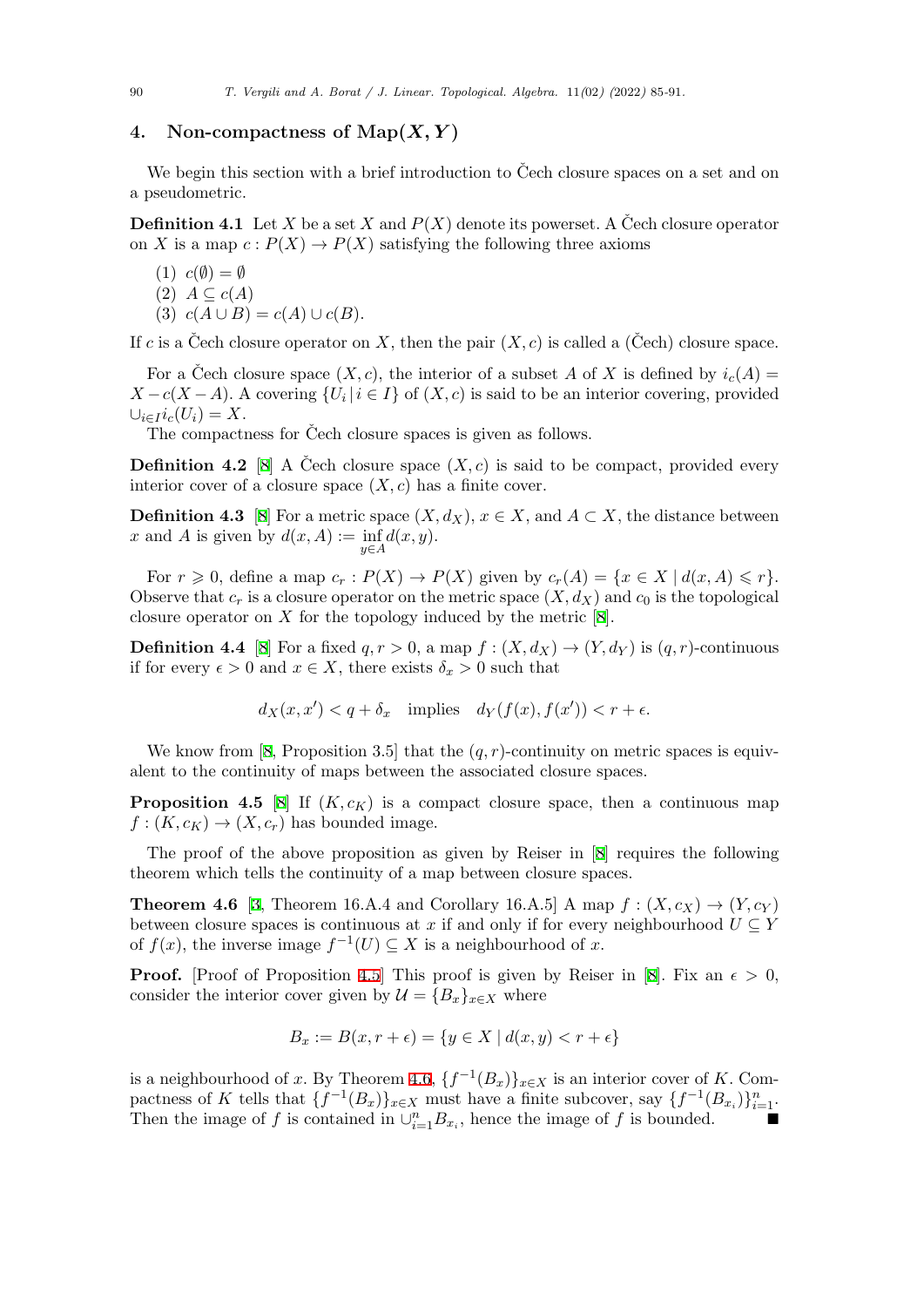## 4. Non-compactness of  $\text{Map}(X, Y)$

We begin this section with a brief introduction to Čech closure spaces on a set and on a pseudometric.

**Definition 4.1** Let *X* be a set *X* and  $P(X)$  denote its powerset. A Cech closure operator on *X* is a map  $c: P(X) \to P(X)$  satisfying the following three axioms

(1) 
$$
c(\emptyset) = \emptyset
$$
  
(2)  $A \subseteq c(A)$   
(3)  $c(A \cup B) = c(A) \cup c(B)$ .

If *c* is a Cech closure operator on X, then the pair  $(X, c)$  is called a (Cech) closure space.

For a Čech closure space  $(X, c)$ , the interior of a subset A of X is defined by  $i_c(A)$  $X - c(X - A)$ . A covering  $\{U_i | i \in I\}$  of  $(X, c)$  is said to be an interior covering, provided  $\cup_{i \in I} i_c(U_i) = X$ .

The compactness for Čech closure spaces is given as follows.

**Definition 4.2** [8] A Cech closure space  $(X, c)$  is said to be compact, provided every interior cover of a closure space  $(X, c)$  has a finite cover.

**Definition 4.3** [8] For a metric space  $(X, d_X)$ ,  $x \in X$ , and  $A \subset X$ , the distance between *x* and *A* is given [by](#page-6-6)  $d(x, A) := \inf$ *y∈A d*(*x, y*)*.*

For  $r \geq 0$ , define a map  $c_r : P(X) \to P(X)$  given by  $c_r(A) = \{x \in X \mid d(x, A) \leq r\}.$ Observe that  $c_r$  i[s a](#page-6-6) closure operator on the metric space  $(X, d_X)$  and  $c_0$  is the topological closure operator on *X* for the topology induced by the metric [8].

**Definition 4.4** [8] For a fixed  $q, r > 0$ , a map  $f : (X, d_X) \to (Y, d_Y)$  is  $(q, r)$ -continuous if for every  $\epsilon > 0$  and  $x \in X$ , there exists  $\delta_x > 0$  such that

$$
d_X(x, x') < q + \delta_x \quad \text{implies} \quad d_Y(f(x), f(x')) < r + \epsilon.
$$

We know from [8, Proposition 3.5] that the  $(q, r)$ -continuity on metric spaces is equivalent to the continuity of maps between the associated closure spaces.

**Proposition 4.5** [8] If  $(K, c_K)$  is a compact closure space, then a continuous map  $f:(K, c_K) \rightarrow (X, c_r)$  $f:(K, c_K) \rightarrow (X, c_r)$  $f:(K, c_K) \rightarrow (X, c_r)$  has bounded image.

The proof of the above proposition as given by Reiser in [8] requires the following theorem which tells [t](#page-6-6)he continuity of a map between closure spaces.

**Theorem 4.6** [3, Theorem 16.A.4 and Corollary 16.A.5] A map  $f : (X, c_X) \rightarrow (Y, c_Y)$ between closure spaces is continuous at *x* if and only if for eve[ry](#page-6-6) neighbourhood  $U \subseteq Y$ of  $f(x)$ , the inverse image  $f^{-1}(U) \subseteq X$  is a neighbourhood of *x*.

**Pro[of](#page-6-7).** [Proof of Proposition 4.5] This proof is given by Reiser in [8]. Fix an  $\epsilon > 0$ , consider the interior cover given by  $\mathcal{U} = \{B_x\}_{x \in X}$  where

$$
B_x := B(x, r + \epsilon) = \{ y \in X \mid d(x, y) < r + \epsilon \}
$$

is a neighbourhood of *x*. By Theorem 4.6,  $\{f^{-1}(B_x)\}_{x \in X}$  is an interior cover of *K*. Compactness of K tells that  $\{f^{-1}(B_x)\}_{x\in X}$  must have a finite subcover, say  $\{f^{-1}(B_{x_i})\}_{i=1}^n$ . Then the image of *f* is contained in  $\bigcup_{i=1}^{n} B_{x_i}$ , hence the image of *f* is bounded.